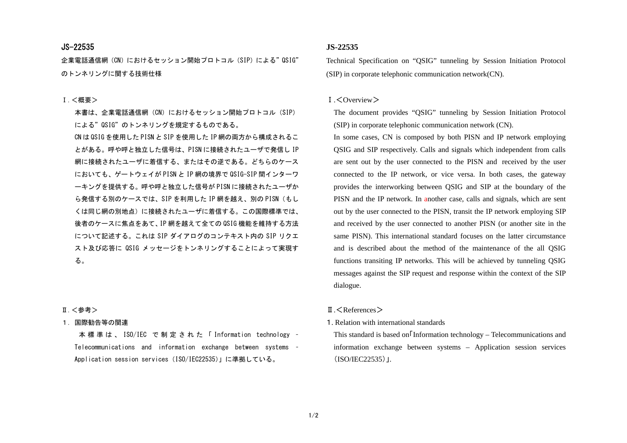## JS-22535

企業電話通信網 (CN) におけるセッション開始プロトコル (SIP) による" QSIG" のトンネリングに関する技術仕様

#### Ⅰ.<概要>

本書は、企業電話通信網(CN)におけるセッション開始プロトコル(SIP) による"QSIG"のトンネリングを規定するものである。 CN は QSIG を使用した PISN と SIP を使用した IP 網の両方から構成されるこ

とがある。呼や呼と独立した信号は、PISN に接続されたユーザで発信し IP 網に接続されたユーザに着信する、またはその逆である。どちらのケース においても、ゲートウェイが PISN と IP 網の境界で QSIG-SIP 間インターワ ーキングを提供する。呼や呼と独立した信号が PISN に接続されたユーザか ら発信する別のケースでは、SIP を利用した IP 網を越え、別の PISN (もし くは同じ網の別地点)に接続されたユーザに着信する。この国際標準では、後者のケースに焦点をあて、IP 網を越えて全ての QSIG 機能を維持する方法 について記述する。これは SIP ダイアログのコンテキスト内の SIP リクエ スト及び応答に QSIG メッセージをトンネリングすることによって実現す る。

## Ⅱ.<参考>

## 1. 国際勧告等の関連

 本標準は、 ISO/IEC で制定された「 Information technology – Telecommunications and information exchange between systems – Application session services (ISO/IEC22535)」に準拠している。

# **JS-22535**

Technical Specification on "QSIG" tunneling by Session Initiation Protocol (SIP) in corporate telephonic communication network(CN).

### $I. \langle$  Overview  $\rangle$

The document provides "QSIG" tunneling by Session Initiation Protocol (SIP) in corporate telephonic communication network (CN).

 In some cases, CN is composed by both PISN and IP network employing QSIG and SIP respectively. Calls and signals which independent from calls are sent out by the user connected to the PISN and received by the user connected to the IP network, or vice versa. In both cases, the gateway provides the interworking between QSIG and SIP at the boundary of the PISN and the IP network. In another case, calls and signals, which are sent out by the user connected to the PISN, transit the IP network employing SIP and received by the user connected to another PISN (or another site in the same PISN). This international standard focuses on the latter circumstance and is described about the method of the maintenance of the all QSIG functions transiting IP networks. This will be achieved by tunneling QSIG messages against the SIP request and response within the context of the SIP dialogue.

## Ⅱ.<References>

1. Relation with international standards

This standard is based on Information technology – Telecommunications and information exchange between systems – Application session services (ISO/IEC22535)」.